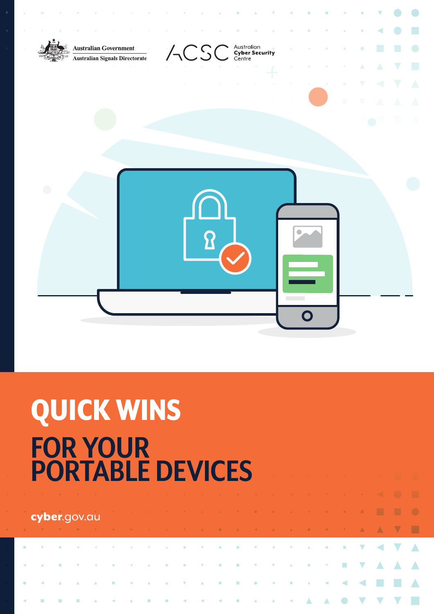

# QUICK WINS. **FOR YOUR PORTABLE DEVICES.**

| <b>Cyber.</b> gov.au and the contract of the contract of the contract of the contract of the contract of the contract of |  |  |  |  |  |  |  |  |  |  |  |
|--------------------------------------------------------------------------------------------------------------------------|--|--|--|--|--|--|--|--|--|--|--|
| A V V B V B V B G A A A V B A B A B A A B O V A A V B                                                                    |  |  |  |  |  |  |  |  |  |  |  |
|                                                                                                                          |  |  |  |  |  |  |  |  |  |  |  |
|                                                                                                                          |  |  |  |  |  |  |  |  |  |  |  |
|                                                                                                                          |  |  |  |  |  |  |  |  |  |  |  |
|                                                                                                                          |  |  |  |  |  |  |  |  |  |  |  |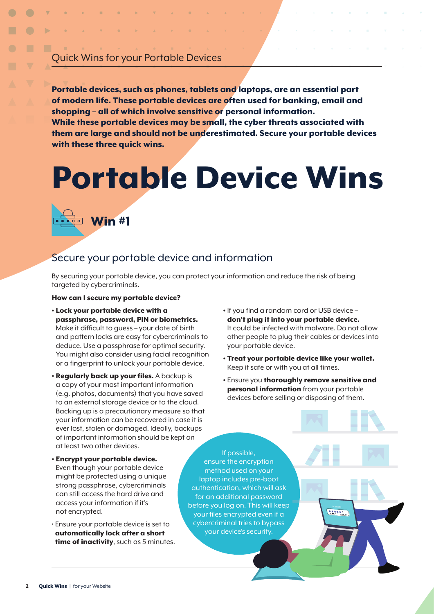## Quick Wins for your Portable Devices

Portable devices, such as phones, tablets and laptops, are an essential part of modern life. These portable devices are often used for banking, email and shopping – all of which involve sensitive or personal information. While these portable devices may be small, the cyber threats associated with them are large and should not be underestimated. Secure your portable devices with these three quick wins.

# Portable Device Wins.



## Secure your portable device and information.

By securing your portable device, you can protect your information and reduce the risk of being targeted by cybercriminals.

#### How can I secure my portable device?.

- Lock your portable device with a passphrase, password, PIN or biometrics. Make it difficult to guess – your date of birth and pattern locks are easy for cybercriminals to deduce. Use a passphrase for optimal security. You might also consider using facial recognition or a fingerprint to unlock your portable device.
- Regularly back up your files. A backup is a copy of your most important information (e.g. photos, documents) that you have saved to an external storage device or to the cloud. Backing up is a precautionary measure so that your information can be recovered in case it is ever lost, stolen or damaged. Ideally, backups of important information should be kept on at least two other devices.
- Encrypt your portable device. Even though your portable device might be protected using a unique strong passphrase, cybercriminals can still access the hard drive and access your information if it's not encrypted.
- Ensure your portable device is set to automatically lock after a short time of inactivity, such as 5 minutes.
- If you find a random cord or USB device don't plug it into your portable device. It could be infected with malware. Do not allow other people to plug their cables or devices into your portable device.
- Treat your portable device like your wallet. Keep it safe or with you at all times.
- Ensure you thoroughly remove sensitive and personal information from your portable devices before selling or disposing of them.

If possible, ensure the encryption method used on your laptop includes pre-boot authentication, which will ask for an additional password before you log on. This will keep your files encrypted even if a cybercriminal tries to bypass your device's security.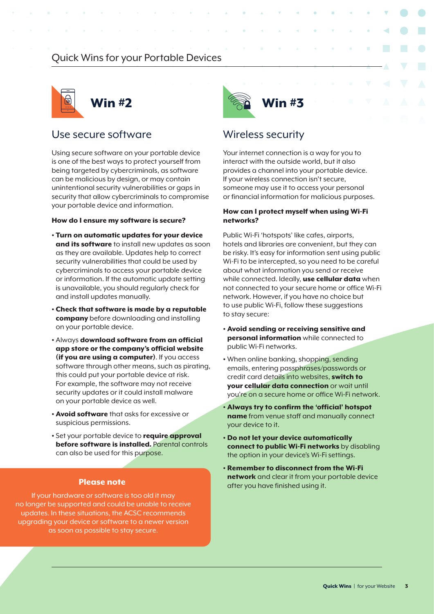## Quick Wins for your Portable Devices



## Use secure software.

Using secure software on your portable device is one of the best ways to protect yourself from being targeted by cybercriminals, as software can be malicious by design, or may contain unintentional security vulnerabilities or gaps in security that allow cybercriminals to compromise your portable device and information.

#### How do I ensure my software is secure?

- Turn on automatic updates for your device and its software to install new updates as soon as they are available. Updates help to correct security vulnerabilities that could be used by cybercriminals to access your portable device or information. If the automatic update setting is unavailable, you should regularly check for and install updates manually.
- Check that software is made by a reputable company before downloading and installing on your portable device.
- Always download software from an official app store or the company's official website (if you are using a computer). If you access software through other means, such as pirating, this could put your portable device at risk. For example, the software may not receive security updates or it could install malware on your portable device as well.
- **Avoid software** that asks for excessive or suspicious permissions.
- Set your portable device to require approval before software is installed. Parental controls can also be used for this purpose.

If your hardware or software is too old it may no longer be supported and could be unable to receive updates. In these situations, the ACSC recommends upgrading your device or software to a newer version as soon as possible to stay secure.



### Wireless security

Your internet connection is a way for you to interact with the outside world, but it also provides a channel into your portable device. If your wireless connection isn't secure, someone may use it to access your personal or financial information for malicious purposes.

### How can I protect myself when using Wi-Fi networks?

Public Wi-Fi 'hotspots' like cafes, airports, hotels and libraries are convenient, but they can be risky. It's easy for information sent using public Wi-Fi to be intercepted, so you need to be careful about what information you send or receive while connected. Ideally, use cellular data when not connected to your secure home or office Wi-Fi network. However, if you have no choice but to use public Wi-Fi, follow these suggestions to stay secure:

- Avoid sending or receiving sensitive and personal information while connected to public Wi-Fi networks.
- When online banking, shopping, sending emails, entering passphrases/passwords or credit card details into websites, switch to your cellular data connection or wait until you're on a secure home or office Wi-Fi network.
- Always try to confirm the 'official' hotspot name from venue staff and manually connect your device to it.
- Do not let your device automatically connect to public Wi-Fi networks by disabling the option in your device's Wi-Fi settings.
- Remember to disconnect from the Wi-Fi network and clear it from your portable device **Please note.** The state of the state of the state in the state of the state of the state of the state of the state of the state of the state of the state of the state of the state of the state of the state of the state of